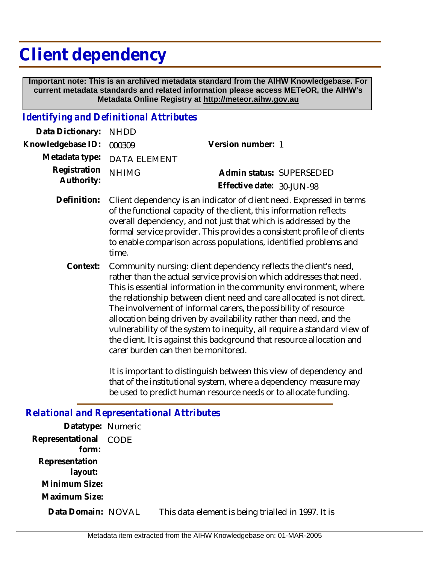# **Client dependency**

 **Important note: This is an archived metadata standard from the AIHW Knowledgebase. For current metadata standards and related information please access METeOR, the AIHW's Metadata Online Registry at http://meteor.aihw.gov.au**

### *Identifying and Definitional Attributes*

| Data Dictionary:           | <b>NHDD</b>                                                                                                                                                                                                                                                                                                                                                                                                                                                                                                                                                                                                                |                                                                    |  |
|----------------------------|----------------------------------------------------------------------------------------------------------------------------------------------------------------------------------------------------------------------------------------------------------------------------------------------------------------------------------------------------------------------------------------------------------------------------------------------------------------------------------------------------------------------------------------------------------------------------------------------------------------------------|--------------------------------------------------------------------|--|
| Knowledgebase ID:          | 000309                                                                                                                                                                                                                                                                                                                                                                                                                                                                                                                                                                                                                     | Version number: 1                                                  |  |
| Metadata type:             | <b>DATA ELEMENT</b>                                                                                                                                                                                                                                                                                                                                                                                                                                                                                                                                                                                                        |                                                                    |  |
| Registration<br>Authority: | <b>NHIMG</b>                                                                                                                                                                                                                                                                                                                                                                                                                                                                                                                                                                                                               | Admin status: SUPERSEDED<br>Effective date: 30-JUN-98              |  |
| Definition:                | Client dependency is an indicator of client need. Expressed in terms<br>of the functional capacity of the client, this information reflects<br>overall dependency, and not just that which is addressed by the<br>formal service provider. This provides a consistent profile of clients<br>to enable comparison across populations, identified problems and<br>time.                                                                                                                                                                                                                                                      |                                                                    |  |
| Context:                   | Community nursing: client dependency reflects the client's need,<br>rather than the actual service provision which addresses that need.<br>This is essential information in the community environment, where<br>the relationship between client need and care allocated is not direct.<br>The involvement of informal carers, the possibility of resource<br>allocation being driven by availability rather than need, and the<br>vulnerability of the system to inequity, all require a standard view of<br>the client. It is against this background that resource allocation and<br>carer burden can then be monitored. |                                                                    |  |
|                            |                                                                                                                                                                                                                                                                                                                                                                                                                                                                                                                                                                                                                            | It is important to distinguish between this view of dependency and |  |

It is important to distinguish between this view of dependency and that of the institutional system, where a dependency measure may be used to predict human resource needs or to allocate funding.

#### *Relational and Representational Attributes*

| Datatype: Numeric              |                                                    |
|--------------------------------|----------------------------------------------------|
| Representational CODE<br>form: |                                                    |
| Representation<br>layout:      |                                                    |
| Minimum Size:<br>Maximum Size: |                                                    |
| Data Domain: NOVAL             | This data element is being trialled in 1997. It is |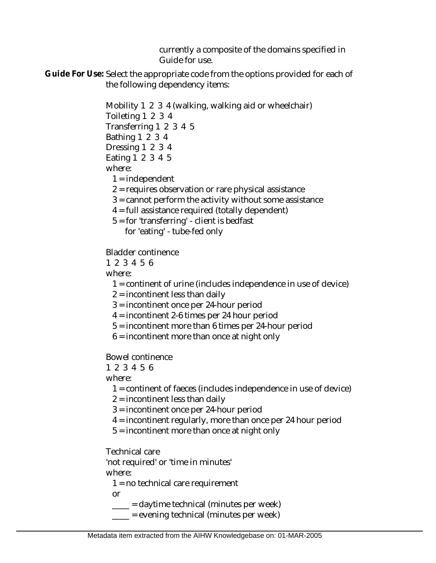currently a composite of the domains specified in Guide for use.

Guide For Use: Select the appropriate code from the options provided for each of the following dependency items:

> Mobility 1 2 3 4 (walking, walking aid or wheelchair) Toileting 1 2 3 4 Transferring 1 2 3 4 5 Bathing 1 2 3 4 Dressing 1 2 3 4 Eating 1 2 3 4 5 where:

 $1 =$  independent

2 = requires observation or rare physical assistance

3 = cannot perform the activity without some assistance

- 4 = full assistance required (totally dependent)
- 5 = for 'transferring' client is bedfast

for 'eating' - tube-fed only

Bladder continence

1 2 3 4 5 6

where:

- 1 = continent of urine (includes independence in use of device)
- 2 = incontinent less than daily
- 3 = incontinent once per 24-hour period
- 4 = incontinent 2-6 times per 24 hour period
- 5 = incontinent more than 6 times per 24-hour period
- $6$  = incontinent more than once at night only

Bowel continence

1 2 3 4 5 6

where:

- 1 = continent of faeces (includes independence in use of device)
- 2 = incontinent less than daily
- 3 = incontinent once per 24-hour period
- 4 = incontinent regularly, more than once per 24 hour period
- 5 = incontinent more than once at night only

Technical care

'not required' or 'time in minutes' where:

1 = no technical care requirement

or

- $\frac{1}{\sqrt{1-\frac{1}{\sqrt{1-\frac{1}{\sqrt{1-\frac{1}{\sqrt{1-\frac{1}{\sqrt{1-\frac{1}{\sqrt{1-\frac{1}{\sqrt{1-\frac{1}{\sqrt{1-\frac{1}{\sqrt{1-\frac{1}{\sqrt{1-\frac{1}{\sqrt{1-\frac{1}{\sqrt{1-\frac{1}{\sqrt{1-\frac{1}{\sqrt{1-\frac{1}{\sqrt{1-\frac{1}{\sqrt{1-\frac{1}{\sqrt{1-\frac{1}{\sqrt{1-\frac{1}{\sqrt{1-\frac{1}{\sqrt{1-\frac{1}{\sqrt{1-\frac{1}{\sqrt{1-\frac{1}{\sqrt{1-\frac{1}{\sqrt{1-\frac{1$
- $\frac{1}{1}$  = evening technical (minutes per week)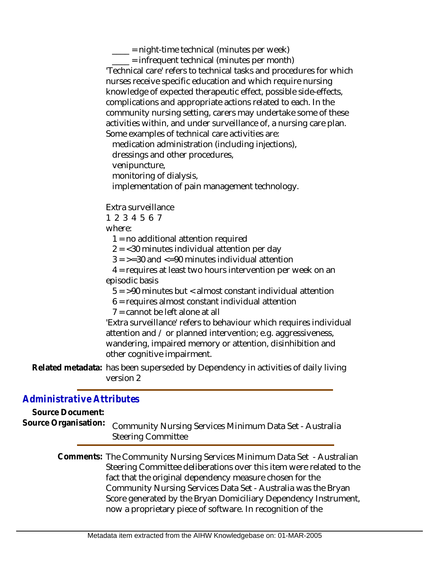$\frac{1}{2}$  = night-time technical (minutes per week)

 \_\_\_\_ = infrequent technical (minutes per month) 'Technical care' refers to technical tasks and procedures for which nurses receive specific education and which require nursing knowledge of expected therapeutic effect, possible side-effects, complications and appropriate actions related to each. In the community nursing setting, carers may undertake some of these activities within, and under surveillance of, a nursing care plan. Some examples of technical care activities are:

medication administration (including injections),

dressings and other procedures,

venipuncture,

monitoring of dialysis,

implementation of pain management technology.

Extra surveillance

1 2 3 4 5 6 7

where:

1 = no additional attention required

 $2 = 30$  minutes individual attention per day

 $3 = -30$  and  $\leq 90$  minutes individual attention

 4 = requires at least two hours intervention per week on an episodic basis

5 = >90 minutes but < almost constant individual attention

6 = requires almost constant individual attention

7 = cannot be left alone at all

'Extra surveillance' refers to behaviour which requires individual attention and / or planned intervention; e.g. aggressiveness, wandering, impaired memory or attention, disinhibition and other cognitive impairment.

Related metadata: has been superseded by Dependency in activities of daily living version 2

#### *Administrative Attributes*

**Source Document:**

Community Nursing Services Minimum Data Set - Australia Steering Committee **Source Organisation:**

> Comments: The Community Nursing Services Minimum Data Set - Australian Steering Committee deliberations over this item were related to the fact that the original dependency measure chosen for the Community Nursing Services Data Set - Australia was the Bryan Score generated by the Bryan Domiciliary Dependency Instrument, now a proprietary piece of software. In recognition of the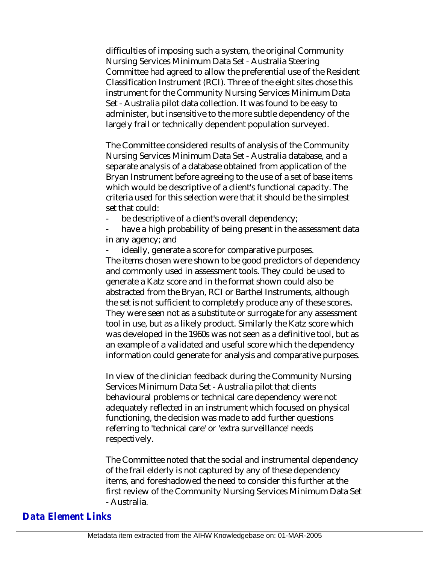difficulties of imposing such a system, the original Community Nursing Services Minimum Data Set - Australia Steering Committee had agreed to allow the preferential use of the Resident Classification Instrument (RCI). Three of the eight sites chose this instrument for the Community Nursing Services Minimum Data Set - Australia pilot data collection. It was found to be easy to administer, but insensitive to the more subtle dependency of the largely frail or technically dependent population surveyed.

The Committee considered results of analysis of the Community Nursing Services Minimum Data Set - Australia database, and a separate analysis of a database obtained from application of the Bryan Instrument before agreeing to the use of a set of base items which would be descriptive of a client's functional capacity. The criteria used for this selection were that it should be the simplest set that could:

be descriptive of a client's overall dependency;

have a high probability of being present in the assessment data in any agency; and

ideally, generate a score for comparative purposes. The items chosen were shown to be good predictors of dependency and commonly used in assessment tools. They could be used to generate a Katz score and in the format shown could also be abstracted from the Bryan, RCI or Barthel Instruments, although the set is not sufficient to completely produce any of these scores. They were seen not as a substitute or surrogate for any assessment tool in use, but as a likely product. Similarly the Katz score which was developed in the 1960s was not seen as a definitive tool, but as an example of a validated and useful score which the dependency information could generate for analysis and comparative purposes.

In view of the clinician feedback during the Community Nursing Services Minimum Data Set - Australia pilot that clients behavioural problems or technical care dependency were not adequately reflected in an instrument which focused on physical functioning, the decision was made to add further questions referring to 'technical care' or 'extra surveillance' needs respectively.

The Committee noted that the social and instrumental dependency of the frail elderly is not captured by any of these dependency items, and foreshadowed the need to consider this further at the first review of the Community Nursing Services Minimum Data Set - Australia.

## *Data Element Links*